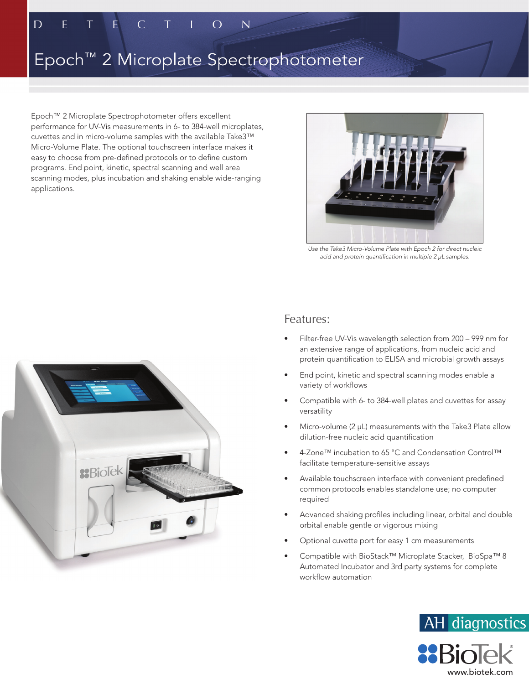E E  $\overline{O}$  $\overline{\mathsf{N}}$  $\subset$ 

D

# Epoch™ 2 Microplate Spectrophotometer

Epoch™ 2 Microplate Spectrophotometer offers excellent performance for UV-Vis measurements in 6- to 384-well microplates, cuvettes and in micro-volume samples with the available Take3™ Micro-Volume Plate. The optional touchscreen interface makes it easy to choose from pre-defined protocols or to define custom programs. End point, kinetic, spectral scanning and well area scanning modes, plus incubation and shaking enable wide-ranging applications.



*Use the Take3 Micro-Volume Plate with Epoch 2 for direct nucleic acid and protein quantification in multiple 2 µL samples.*



#### Features:

- Filter-free UV-Vis wavelength selection from 200 999 nm for an extensive range of applications, from nucleic acid and protein quantification to ELISA and microbial growth assays
- End point, kinetic and spectral scanning modes enable a variety of workflows
- Compatible with 6- to 384-well plates and cuvettes for assay versatility
- Micro-volume (2 µL) measurements with the Take3 Plate allow dilution-free nucleic acid quantification
- 4-Zone™ incubation to 65 °C and Condensation Control™ facilitate temperature-sensitive assays
- Available touchscreen interface with convenient predefined common protocols enables standalone use; no computer required
- Advanced shaking profiles including linear, orbital and double orbital enable gentle or vigorous mixing
- Optional cuvette port for easy 1 cm measurements
- Compatible with BioStack™ Microplate Stacker, BioSpa™ 8 Automated Incubator and 3rd party systems for complete workflow automation

www.biotek.com

AH diagnostics